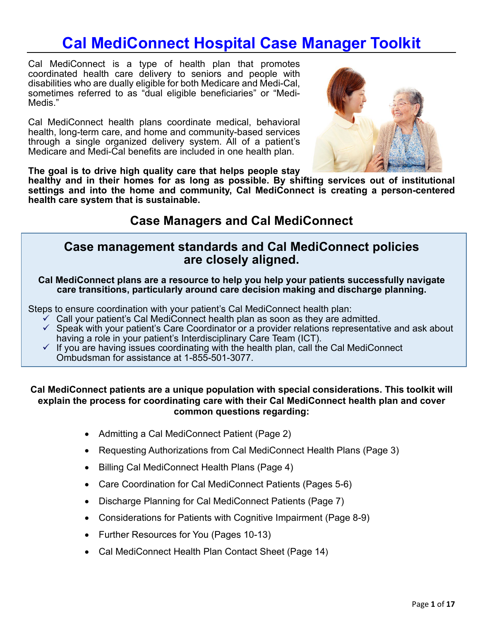# **Cal MediConnect Hospital Case Manager Toolkit**

 Cal MediConnect is a type of health plan that promotes Medis." coordinated health care delivery to seniors and people with disabilities who are dually eligible for both Medicare and Medi-Cal, sometimes referred to as "dual eligible beneficiaries" or "Medi-

Cal MediConnect health plans coordinate medical, behavioral health, long-term care, and home and community-based services through a single organized delivery system. All of a patient's Medicare and Medi-Cal benefits are included in one health plan.



**The goal is to drive high quality care that helps people stay** 

**healthy and in their homes for as long as possible. By shifting services out of institutional settings and into the home and community, Cal MediConnect is creating a person-centered health care system that is sustainable.** 

## **Case Managers and Cal MediConnect**

### **Case management standards and Cal MediConnect policies are closely aligned.**

**Cal MediConnect plans are a resource to help you help your patients successfully navigate care transitions, particularly around care decision making and discharge planning.** 

Steps to ensure coordination with your patient's Cal MediConnect health plan:

- $\checkmark$  Call your patient's Cal MediConnect health plan as soon as they are admitted.
- having a role in your patient's Interdisciplinary Care Team (ICT).  $\checkmark$  Speak with your patient's Care Coordinator or a provider relations representative and ask about
- $\checkmark$  If you are having issues coordinating with the health plan, call the Cal MediConnect Ombudsman for assistance at 1-855-501-3077.

### **Cal MediConnect patients are a unique population with special considerations. This toolkit will explain the process for coordinating care with their Cal MediConnect health plan and cover common questions regarding:**

- Admitting a Cal MediConnect Patient (Page 2)
- Requesting Authorizations from Cal MediConnect Health Plans (Page 3)
- Billing Cal MediConnect Health Plans (Page 4)
- Care Coordination for Cal MediConnect Patients (Pages 5-6)
- Discharge Planning for Cal MediConnect Patients (Page 7)
- Considerations for Patients with Cognitive Impairment (Page 8-9)
- Further Resources for You (Pages 10-13)
- Cal MediConnect Health Plan Contact Sheet (Page 14)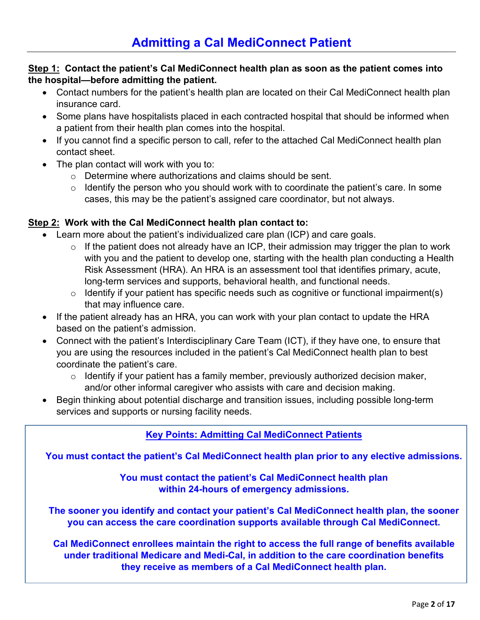### **Step 1: Contact the patient's Cal MediConnect health plan as soon as the patient comes into the hospital—before admitting the patient.**

- Contact numbers for the patient's health plan are located on their Cal MediConnect health plan insurance card.
- Some plans have hospitalists placed in each contracted hospital that should be informed when a patient from their health plan comes into the hospital.
- If you cannot find a specific person to call, refer to the attached Cal MediConnect health plan contact sheet.
- The plan contact will work with you to:
	- o Determine where authorizations and claims should be sent.
	- $\circ$  Identify the person who you should work with to coordinate the patient's care. In some cases, this may be the patient's assigned care coordinator, but not always.

### **Step 2: Work with the Cal MediConnect health plan contact to:**

- Learn more about the patient's individualized care plan (ICP) and care goals.
	- $\circ$  If the patient does not already have an ICP, their admission may trigger the plan to work with you and the patient to develop one, starting with the health plan conducting a Health Risk Assessment (HRA). An HRA is an assessment tool that identifies primary, acute, long-term services and supports, behavioral health, and functional needs.
	- $\circ$  Identify if your patient has specific needs such as cognitive or functional impairment(s) that may influence care.
- If the patient already has an HRA, you can work with your plan contact to update the HRA based on the patient's admission.
- you are using the resources included in the patient's Cal MediConnect health plan to best • Connect with the patient's Interdisciplinary Care Team (ICT), if they have one, to ensure that coordinate the patient's care.
	- $\circ$  Identify if your patient has a family member, previously authorized decision maker, and/or other informal caregiver who assists with care and decision making.
- Begin thinking about potential discharge and transition issues, including possible long-term services and supports or nursing facility needs.

### **Key Points: Admitting Cal MediConnect Patients**

**You must contact the patient's Cal MediConnect health plan prior to any elective admissions.** 

**You must contact the patient's Cal MediConnect health plan within 24-hours of emergency admissions.** 

 **The sooner you identify and contact your patient's Cal MediConnect health plan, the sooner you can access the care coordination supports available through Cal MediConnect.** 

**Cal MediConnect enrollees maintain the right to access the full range of benefits available under traditional Medicare and Medi-Cal, in addition to the care coordination benefits they receive as members of a Cal MediConnect health plan.**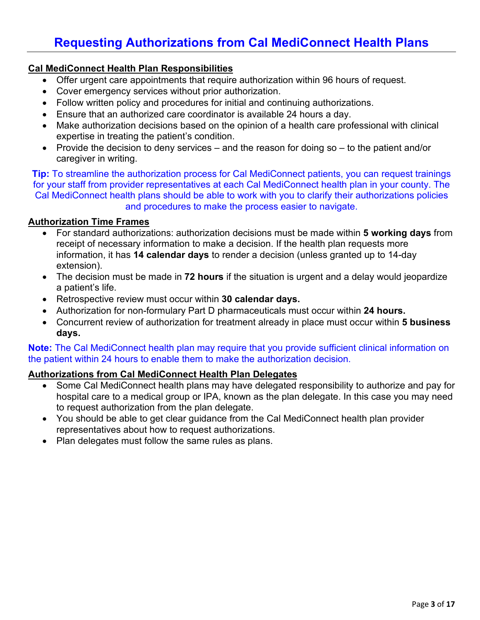## **Requesting Authorizations from Cal MediConnect Health Plans**

### **Cal MediConnect Health Plan Responsibilities**

- Offer urgent care appointments that require authorization within 96 hours of request.
- Cover emergency services without prior authorization.
- Follow written policy and procedures for initial and continuing authorizations.
- Ensure that an authorized care coordinator is available 24 hours a day.
- Make authorization decisions based on the opinion of a health care professional with clinical expertise in treating the patient's condition.
- • Provide the decision to deny services and the reason for doing so to the patient and/or caregiver in writing.

 for your staff from provider representatives at each Cal MediConnect health plan in your county. The **Tip:** To streamline the authorization process for Cal MediConnect patients, you can request trainings Cal MediConnect health plans should be able to work with you to clarify their authorizations policies and procedures to make the process easier to navigate.

### **Authorization Time Frames**

- • For standard authorizations: authorization decisions must be made within **5 working days** from  information, it has **14 calendar days** to render a decision (unless granted up to 14-day receipt of necessary information to make a decision. If the health plan requests more extension).
- The decision must be made in **72 hours** if the situation is urgent and a delay would jeopardize a patient's life.
- Retrospective review must occur within **30 calendar days.**
- Authorization for non-formulary Part D pharmaceuticals must occur within **24 hours.**
- Concurrent review of authorization for treatment already in place must occur within **5 business days.**

**Note:** The Cal MediConnect health plan may require that you provide sufficient clinical information on the patient within 24 hours to enable them to make the authorization decision.

#### **Authorizations from Cal MediConnect Health Plan Delegates**

- Some Cal MediConnect health plans may have delegated responsibility to authorize and pay for hospital care to a medical group or IPA, known as the plan delegate. In this case you may need to request authorization from the plan delegate.
- representatives about how to request authorizations. • You should be able to get clear guidance from the Cal MediConnect health plan provider
- Plan delegates must follow the same rules as plans.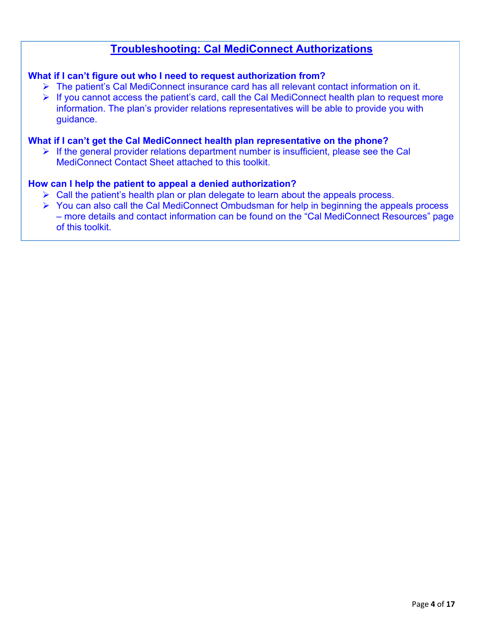### **Troubleshooting: Cal MediConnect Authorizations**

### **What if I can't figure out who I need to request authorization from?**

- The patient's Cal MediConnect insurance card has all relevant contact information on it.
- $\triangleright$  If you cannot access the patient's card, call the Cal MediConnect health plan to request more information. The plan's provider relations representatives will be able to provide you with guidance.

### **What if I can't get the Cal MediConnect health plan representative on the phone?**

 $\triangleright$  If the general provider relations department number is insufficient, please see the Cal MediConnect Contact Sheet attached to this toolkit.

### **How can I help the patient to appeal a denied authorization?**

- Call the patient's health plan or plan delegate to learn about the appeals process.
- You can also call the Cal MediConnect Ombudsman for help in beginning the appeals process – more details and contact information can be found on the "Cal MediConnect Resources" page of this toolkit.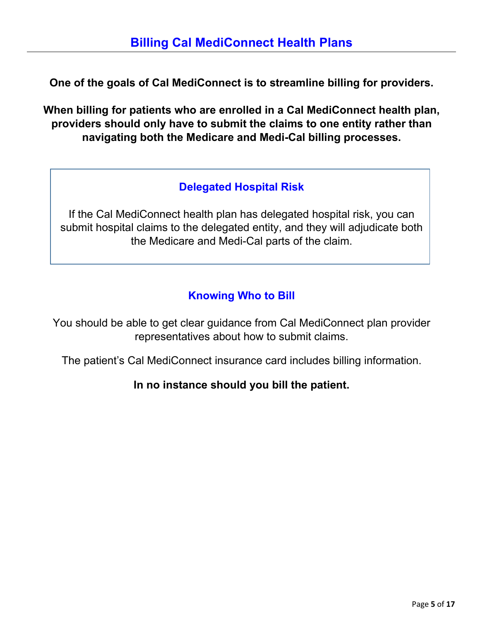**One of the goals of Cal MediConnect is to streamline billing for providers.** 

 **When billing for patients who are enrolled in a Cal MediConnect health plan, providers should only have to submit the claims to one entity rather than navigating both the Medicare and Medi-Cal billing processes.** 

## **Delegated Hospital Risk**

 If the Cal MediConnect health plan has delegated hospital risk, you can submit hospital claims to the delegated entity, and they will adjudicate both the Medicare and Medi-Cal parts of the claim.

## **Knowing Who to Bill**

 You should be able to get clear guidance from Cal MediConnect plan provider representatives about how to submit claims.

The patient's Cal MediConnect insurance card includes billing information.

### **In no instance should you bill the patient.**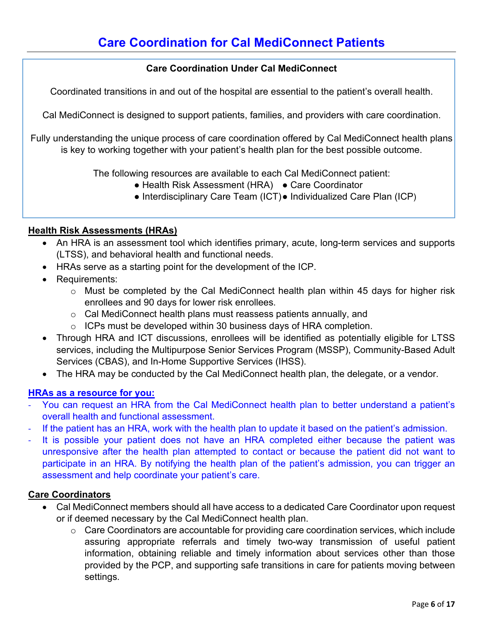### **Care Coordination Under Cal MediConnect**

Coordinated transitions in and out of the hospital are essential to the patient's overall health.

Cal MediConnect is designed to support patients, families, and providers with care coordination.

Fully understanding the unique process of care coordination offered by Cal MediConnect health plans is key to working together with your patient's health plan for the best possible outcome.

The following resources are available to each Cal MediConnect patient:

- Health Risk Assessment (HRA) Care Coordinator
- Interdisciplinary Care Team (ICT)● Individualized Care Plan (ICP)

#### **Health Risk Assessments (HRAs)**

- (LTSS), and behavioral health and functional needs. • An HRA is an assessment tool which identifies primary, acute, long-term services and supports
- HRAs serve as a starting point for the development of the ICP.
- Requirements:
	- o Must be completed by the Cal MediConnect health plan within 45 days for higher risk enrollees and 90 days for lower risk enrollees.
	- o Cal MediConnect health plans must reassess patients annually, and
	- $\circ$  ICPs must be developed within 30 business days of HRA completion.
- services, including the Multipurpose Senior Services Program (MSSP), Community-Based Adult • Through HRA and ICT discussions, enrollees will be identified as potentially eligible for LTSS Services (CBAS), and In-Home Supportive Services (IHSS).
- The HRA may be conducted by the Cal MediConnect health plan, the delegate, or a vendor.

#### **HRAs as a resource for you:**

- You can request an HRA from the Cal MediConnect health plan to better understand a patient's overall health and functional assessment.
- If the patient has an HRA, work with the health plan to update it based on the patient's admission.
- It is possible your patient does not have an HRA completed either because the patient was unresponsive after the health plan attempted to contact or because the patient did not want to participate in an HRA. By notifying the health plan of the patient's admission, you can trigger an assessment and help coordinate your patient's care.

#### **Care Coordinators**

- Cal MediConnect members should all have access to a dedicated Care Coordinator upon request or if deemed necessary by the Cal MediConnect health plan.
	- assuring appropriate referrals and timely two-way transmission of useful patient  $\circ$  Care Coordinators are accountable for providing care coordination services, which include information, obtaining reliable and timely information about services other than those provided by the PCP, and supporting safe transitions in care for patients moving between settings.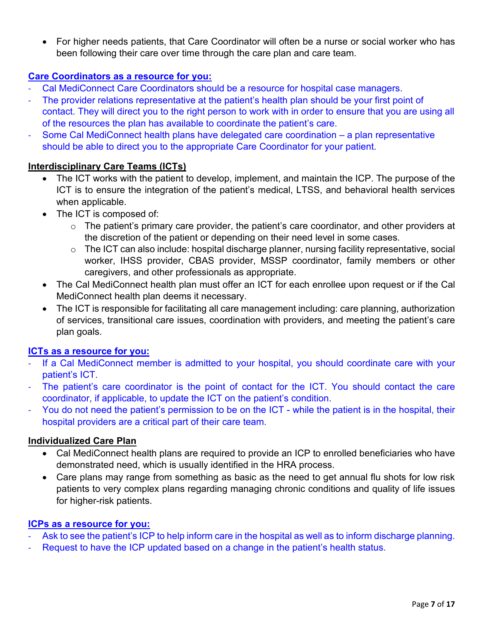• For higher needs patients, that Care Coordinator will often be a nurse or social worker who has been following their care over time through the care plan and care team.

### **Care Coordinators as a resource for you:**

- Cal MediConnect Care Coordinators should be a resource for hospital case managers.
- The provider relations representative at the patient's health plan should be your first point of contact. They will direct you to the right person to work with in order to ensure that you are using all of the resources the plan has available to coordinate the patient's care.
- should be able to direct you to the appropriate Care Coordinator for your patient. Some Cal MediConnect health plans have delegated care coordination – a plan representative

### **Interdisciplinary Care Teams (ICTs)**

- • The ICT works with the patient to develop, implement, and maintain the ICP. The purpose of the ICT is to ensure the integration of the patient's medical, LTSS, and behavioral health services when applicable.
- The ICT is composed of:
	- $\circ$  The patient's primary care provider, the patient's care coordinator, and other providers at the discretion of the patient or depending on their need level in some cases.
	- worker, IHSS provider, CBAS provider, MSSP coordinator, family members or other  $\circ$  The ICT can also include: hospital discharge planner, nursing facility representative, social caregivers, and other professionals as appropriate.
- • The Cal MediConnect health plan must offer an ICT for each enrollee upon request or if the Cal MediConnect health plan deems it necessary.
- The ICT is responsible for facilitating all care management including: care planning, authorization of services, transitional care issues, coordination with providers, and meeting the patient's care plan goals.

### **ICTs as a resource for you:**

- - If a Cal MediConnect member is admitted to your hospital, you should coordinate care with your patient's ICT.
- - The patient's care coordinator is the point of contact for the ICT. You should contact the care coordinator, if applicable, to update the ICT on the patient's condition.
- You do not need the patient's permission to be on the ICT while the patient is in the hospital, their hospital providers are a critical part of their care team.

### **Individualized Care Plan**

- • Cal MediConnect health plans are required to provide an ICP to enrolled beneficiaries who have demonstrated need, which is usually identified in the HRA process.
- • Care plans may range from something as basic as the need to get annual flu shots for low risk patients to very complex plans regarding managing chronic conditions and quality of life issues for higher-risk patients.

### **ICPs as a resource for you:**

- Ask to see the patient's ICP to help inform care in the hospital as well as to inform discharge planning.
- Request to have the ICP updated based on a change in the patient's health status.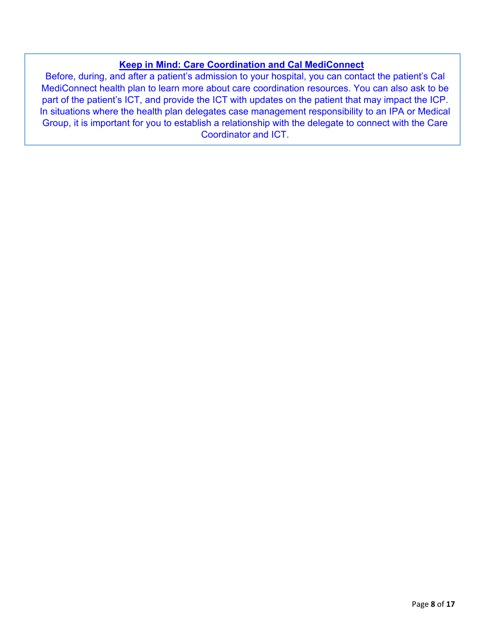### **Keep in Mind: Care Coordination and Cal MediConnect**

 MediConnect health plan to learn more about care coordination resources. You can also ask to be part of the patient's ICT, and provide the ICT with updates on the patient that may impact the ICP. In situations where the health plan delegates case management responsibility to an IPA or Medical Group, it is important for you to establish a relationship with the delegate to connect with the Care Before, during, and after a patient's admission to your hospital, you can contact the patient's Cal Coordinator and ICT.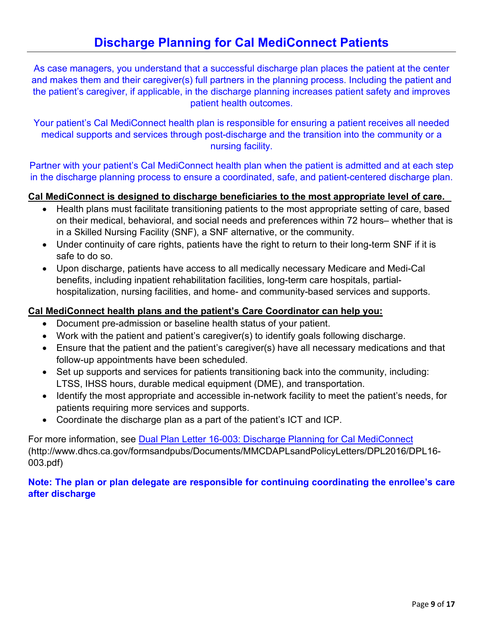As case managers, you understand that a successful discharge plan places the patient at the center and makes them and their caregiver(s) full partners in the planning process. Including the patient and the patient's caregiver, if applicable, in the discharge planning increases patient safety and improves patient health outcomes.

Your patient's Cal MediConnect health plan is responsible for ensuring a patient receives all needed medical supports and services through post-discharge and the transition into the community or a nursing facility.

 Partner with your patient's Cal MediConnect health plan when the patient is admitted and at each step in the discharge planning process to ensure a coordinated, safe, and patient-centered discharge plan.

### **Cal MediConnect is designed to discharge beneficiaries to the most appropriate level of care.**

- • Health plans must facilitate transitioning patients to the most appropriate setting of care, based on their medical, behavioral, and social needs and preferences within 72 hours– whether that is in a Skilled Nursing Facility (SNF), a SNF alternative, or the community.
- • Under continuity of care rights, patients have the right to return to their long-term SNF if it is safe to do so.
- Upon discharge, patients have access to all medically necessary Medicare and Medi-Cal benefits, including inpatient rehabilitation facilities, long-term care hospitals, partialhospitalization, nursing facilities, and home- and community-based services and supports.

### **Cal MediConnect health plans and the patient's Care Coordinator can help you:**

- Document pre-admission or baseline health status of your patient.
- Work with the patient and patient's caregiver(s) to identify goals following discharge.
- Ensure that the patient and the patient's caregiver(s) have all necessary medications and that follow-up appointments have been scheduled.
- Set up supports and services for patients transitioning back into the community, including: LTSS, IHSS hours, durable medical equipment (DME), and transportation.
- Identify the most appropriate and accessible in-network facility to meet the patient's needs, for patients requiring more services and supports.
- Coordinate the discharge plan as a part of the patient's ICT and ICP.

For more information, see [Dual Plan Letter 16-003: Discharge Planning for Cal MediConnect](http://www.dhcs.ca.gov/formsandpubs/Documents/MMCDAPLsandPolicyLetters/DPL2016/DPL16-003.pdf)  (http://www.dhcs.ca.gov/formsandpubs/Documents/MMCDAPLsandPolicyLetters/DPL2016/DPL16- 003.pdf)

### **Note: The plan or plan delegate are responsible for continuing coordinating the enrollee's care after discharge**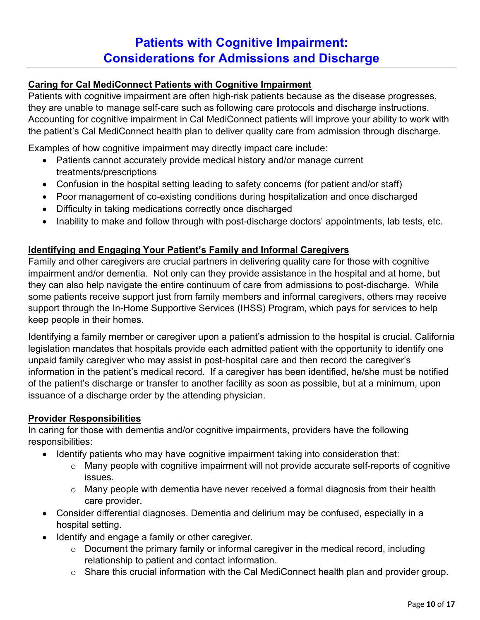## **Patients with Cognitive Impairment: Considerations for Admissions and Discharge**

### **Caring for Cal MediConnect Patients with Cognitive Impairment**

they are unable to manage self-care such as following care protocols and discharge instructions. Patients with cognitive impairment are often high-risk patients because as the disease progresses, Accounting for cognitive impairment in Cal MediConnect patients will improve your ability to work with the patient's Cal MediConnect health plan to deliver quality care from admission through discharge.

Examples of how cognitive impairment may directly impact care include:

- Patients cannot accurately provide medical history and/or manage current treatments/prescriptions
- Confusion in the hospital setting leading to safety concerns (for patient and/or staff)
- Poor management of co-existing conditions during hospitalization and once discharged
- Difficulty in taking medications correctly once discharged
- Inability to make and follow through with post-discharge doctors' appointments, lab tests, etc.

### **Identifying and Engaging Your Patient's Family and Informal Caregivers**

 impairment and/or dementia. Not only can they provide assistance in the hospital and at home, but support through the In-Home Supportive Services (IHSS) Program, which pays for services to help Family and other caregivers are crucial partners in delivering quality care for those with cognitive they can also help navigate the entire continuum of care from admissions to post-discharge. While some patients receive support just from family members and informal caregivers, others may receive keep people in their homes.

 Identifying a family member or caregiver upon a patient's admission to the hospital is crucial. California information in the patient's medical record. If a caregiver has been identified, he/she must be notified of the patient's discharge or transfer to another facility as soon as possible, but at a minimum, upon legislation mandates that hospitals provide each admitted patient with the opportunity to identify one unpaid family caregiver who may assist in post-hospital care and then record the caregiver's issuance of a discharge order by the attending physician.

### **Provider Responsibilities**

In caring for those with dementia and/or cognitive impairments, providers have the following responsibilities:

- • Identify patients who may have cognitive impairment taking into consideration that:
	- o Many people with cognitive impairment will not provide accurate self-reports of cognitive issues.
	- $\circ$  Many people with dementia have never received a formal diagnosis from their health care provider.
- Consider differential diagnoses. Dementia and delirium may be confused, especially in a hospital setting.
- Identify and engage a family or other caregiver.
	- o Document the primary family or informal caregiver in the medical record, including relationship to patient and contact information.
	- o Share this crucial information with the Cal MediConnect health plan and provider group.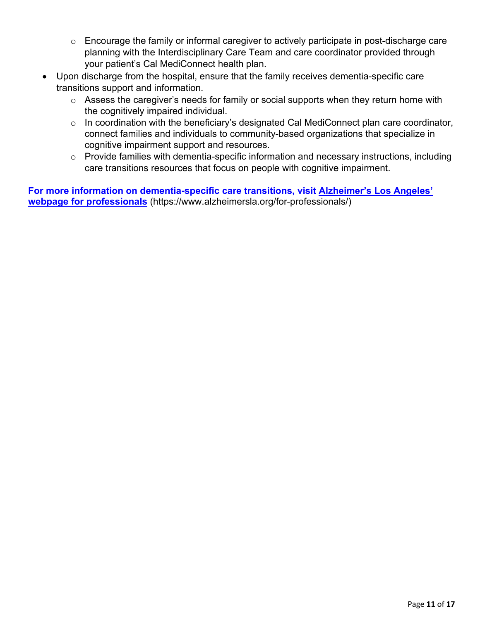- planning with the Interdisciplinary Care Team and care coordinator provided through o Encourage the family or informal caregiver to actively participate in post-discharge care your patient's Cal MediConnect health plan.
- Upon discharge from the hospital, ensure that the family receives dementia-specific care transitions support and information.
	- o Assess the caregiver's needs for family or social supports when they return home with the cognitively impaired individual.
	- o In coordination with the beneficiary's designated Cal MediConnect plan care coordinator, connect families and individuals to community-based organizations that specialize in cognitive impairment support and resources.
	- o Provide families with dementia-specific information and necessary instructions, including care transitions resources that focus on people with cognitive impairment.

**For more information on dementia-specific care transitions, visit Alzheimer's Los Angeles' webpage for professionals** (https://www.alzheimersla.org/for-professionals/)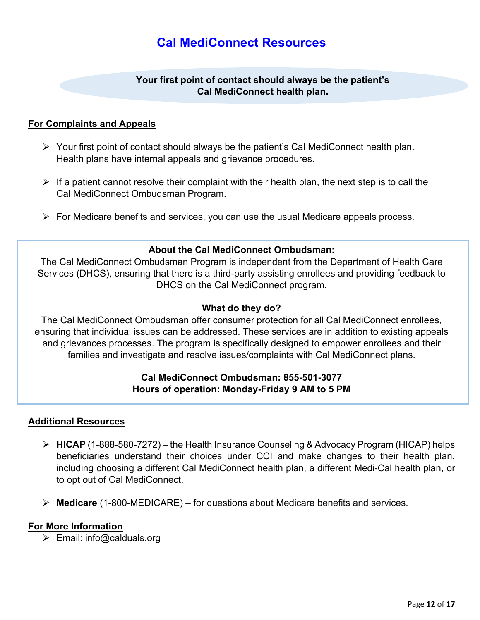### **Your first point of contact should always be the patient's Cal MediConnect health plan.**

### **For Complaints and Appeals**

- Your first point of contact should always be the patient's Cal MediConnect health plan. Health plans have internal appeals and grievance procedures.
- If a patient cannot resolve their complaint with their health plan, the next step is to call the Cal MediConnect Ombudsman Program. Cal MediConnect Ombudsman Program.
- For Medicare benefits and services, you can use the usual Medicare appeals process.

### **About the Cal MediConnect Ombudsman:**

 The Cal MediConnect Ombudsman Program is independent from the Department of Health Care Services (DHCS), ensuring that there is a third-party assisting enrollees and providing feedback to DHCS on the Cal MediConnect program.

### **What do they do?**

 The Cal MediConnect Ombudsman offer consumer protection for all Cal MediConnect enrollees, families and investigate and resolve issues/complaints with Cal MediConnect plans. ensuring that individual issues can be addressed. These services are in addition to existing appeals and grievances processes. The program is specifically designed to empower enrollees and their

### **Cal MediConnect Ombudsman: 855-501-3077 Hours of operation: Monday-Friday 9 AM to 5 PM**

### **Additional Resources**

- **HICAP** (1-888-580-7272) the Health Insurance Counseling & Advocacy Program (HICAP) helps beneficiaries understand their choices under CCI and make changes to their health plan, including choosing a different Cal MediConnect health plan, a different Medi-Cal health plan, or to opt out of Cal MediConnect.
- **Medicare** (1-800-MEDICARE) for questions about Medicare benefits and services.

### **For More Information**

 $\triangleright$  Email: info@calduals.org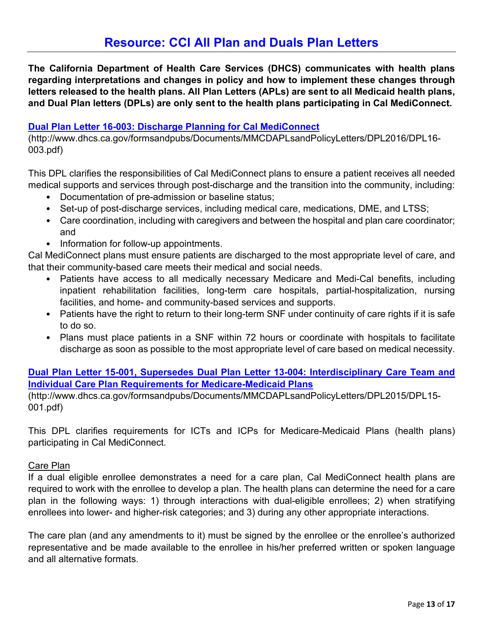**The California Department of Health Care Services (DHCS) communicates with health plans regarding interpretations and changes in policy and how to implement these changes through letters released to the health plans. All Plan Letters (APLs) are sent to all Medicaid health plans, and Dual Plan letters (DPLs) are only sent to the health plans participating in Cal MediConnect.** 

### **[Dual Plan Letter 16-003: Discharge Planning for Cal MediConnect](http://www.dhcs.ca.gov/formsandpubs/Documents/MMCDAPLsandPolicyLetters/DPL2016/DPL16-003.pdf)**

003.pdf) (http://www.dhcs.ca.gov/formsandpubs/Documents/MMCDAPLsandPolicyLetters/DPL2016/DPL16-

This DPL clarifies the responsibilities of Cal MediConnect plans to ensure a patient receives all needed medical supports and services through post-discharge and the transition into the community, including:

- Documentation of pre-admission or baseline status;
- Set-up of post-discharge services, including medical care, medications, DME, and LTSS;
- Care coordination, including with caregivers and between the hospital and plan care coordinator; and
- Information for follow-up appointments.

Cal MediConnect plans must ensure patients are discharged to the most appropriate level of care, and that their community-based care meets their medical and social needs.

- Patients have access to all medically necessary Medicare and Medi-Cal benefits, including inpatient rehabilitation facilities, long-term care hospitals, partial-hospitalization, nursing facilities, and home- and community-based services and supports.
- Patients have the right to return to their long-term SNF under continuity of care rights if it is safe to do so.
- • Plans must place patients in a SNF within 72 hours or coordinate with hospitals to facilitate discharge as soon as possible to the most appropriate level of care based on medical necessity.

### **[Dual Plan Letter 15-001, Supersedes Dual Plan Letter 13-004: Interdisciplinary Care Team and](http://www.dhcs.ca.gov/formsandpubs/Documents/MMCDAPLsandPolicyLetters/DPL2015/DPL15-001.pdf)  [Individual Care Plan Requirements for Medicare-Medicaid Plans](http://www.dhcs.ca.gov/formsandpubs/Documents/MMCDAPLsandPolicyLetters/DPL2015/DPL15-001.pdf)**

(http://www.dhcs.ca.gov/formsandpubs/Documents/MMCDAPLsandPolicyLetters/DPL2015/DPL15- 001.pdf)

 This DPL clarifies requirements for ICTs and ICPs for Medicare-Medicaid Plans (health plans) participating in Cal MediConnect.

### Care Plan

 plan in the following ways: 1) through interactions with dual-eligible enrollees; 2) when stratifying enrollees into lower- and higher-risk categories; and 3) during any other appropriate interactions. If a dual eligible enrollee demonstrates a need for a care plan, Cal MediConnect health plans are required to work with the enrollee to develop a plan. The health plans can determine the need for a care

The care plan (and any amendments to it) must be signed by the enrollee or the enrollee's authorized representative and be made available to the enrollee in his/her preferred written or spoken language and all alternative formats.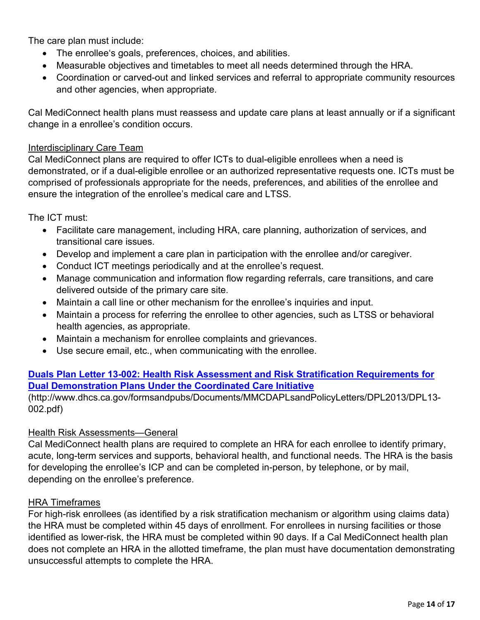The care plan must include:

- The enrollee's goals, preferences, choices, and abilities.
- Measurable objectives and timetables to meet all needs determined through the HRA.
- Coordination or carved-out and linked services and referral to appropriate community resources and other agencies, when appropriate.

Cal MediConnect health plans must reassess and update care plans at least annually or if a significant change in a enrollee's condition occurs.

### Interdisciplinary Care Team

Cal MediConnect plans are required to offer ICTs to dual-eligible enrollees when a need is demonstrated, or if a dual-eligible enrollee or an authorized representative requests one. ICTs must be comprised of professionals appropriate for the needs, preferences, and abilities of the enrollee and ensure the integration of the enrollee's medical care and LTSS.

The ICT must:

- Facilitate care management, including HRA, care planning, authorization of services, and transitional care issues.
- Develop and implement a care plan in participation with the enrollee and/or caregiver.
- Conduct ICT meetings periodically and at the enrollee's request.
- delivered outside of the primary care site. • Manage communication and information flow regarding referrals, care transitions, and care
- Maintain a call line or other mechanism for the enrollee's inquiries and input.
- • Maintain a process for referring the enrollee to other agencies, such as LTSS or behavioral health agencies, as appropriate.
- Maintain a mechanism for enrollee complaints and grievances.
- Use secure email, etc., when communicating with the enrollee.

### **Dual Demonstration Plans Under the Coordinated Care Initiative Duals Plan Letter 13-002: Health Risk Assessment and Risk Stratification Requirements for**

(<http://www.dhcs.ca.gov/formsandpubs/Documents/MMCDAPLsandPolicyLetters/DPL2013/DPL13>- 002.pdf)

### Health Risk Assessments—General

 acute, long-term services and supports, behavioral health, and functional needs. The HRA is the basis for developing the enrollee's ICP and can be completed in-person, by telephone, or by mail, Cal MediConnect health plans are required to complete an HRA for each enrollee to identify primary, depending on the enrollee's preference.

### HRA Timeframes

 For high-risk enrollees (as identified by a risk stratification mechanism or algorithm using claims data) the HRA must be completed within 45 days of enrollment. For enrollees in nursing facilities or those identified as lower-risk, the HRA must be completed within 90 days. If a Cal MediConnect health plan does not complete an HRA in the allotted timeframe, the plan must have documentation demonstrating unsuccessful attempts to complete the HRA.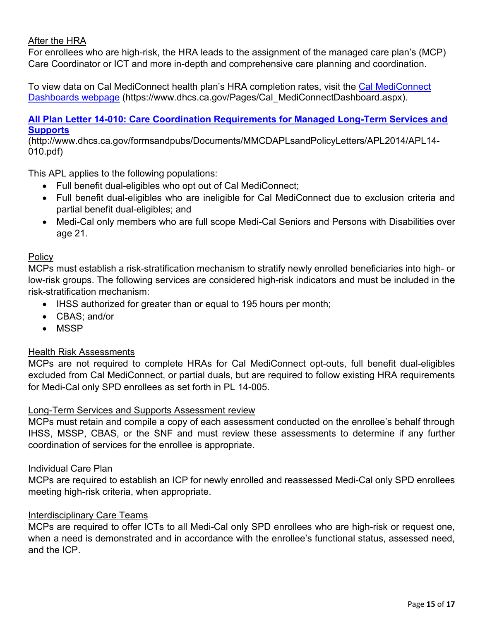### After the HRA

 For enrollees who are high-risk, the HRA leads to the assignment of the managed care plan's (MCP) Care Coordinator or ICT and more in-depth and comprehensive care planning and coordination.

To view data on Cal MediConnect health plan's HRA completion rates, visit the [Cal MediConnect](https://www.dhcs.ca.gov/Pages/Cal_MediConnectDashboard.aspx)  [Dashboards webpage](https://www.dhcs.ca.gov/Pages/Cal_MediConnectDashboard.aspx) (https://www.dhcs.ca.gov/Pages/Cal\_MediConnectDashboard.aspx).

### **[All Plan Letter 14-010: Care Coordination Requirements for Managed Long-Term Services and](http://www.dhcs.ca.gov/formsandpubs/Documents/MMCDAPLsandPolicyLetters/APL2014/APL14-010.pdf)  [Supports](http://www.dhcs.ca.gov/formsandpubs/Documents/MMCDAPLsandPolicyLetters/APL2014/APL14-010.pdf)**

(http://www.dhcs.ca.gov/formsandpubs/Documents/MMCDAPLsandPolicyLetters/APL2014/APL14- 010.pdf)

This APL applies to the following populations:

- Full benefit dual-eligibles who opt out of Cal MediConnect;
- partial benefit dual-eligibles; and • Full benefit dual-eligibles who are ineligible for Cal MediConnect due to exclusion criteria and
- Medi-Cal only members who are full scope Medi-Cal Seniors and Persons with Disabilities over age 21.

### Policy

MCPs must establish a risk-stratification mechanism to stratify newly enrolled beneficiaries into high- or low-risk groups. The following services are considered high-risk indicators and must be included in the risk-stratification mechanism:

- IHSS authorized for greater than or equal to 195 hours per month;
- CBAS; and/or
- MSSP

### Health Risk Assessments

MCPs are not required to complete HRAs for Cal MediConnect opt-outs, full benefit dual-eligibles excluded from Cal MediConnect, or partial duals, but are required to follow existing HRA requirements for Medi-Cal only SPD enrollees as set forth in PL 14-005.

### Long-Term Services and Supports Assessment review

MCPs must retain and compile a copy of each assessment conducted on the enrollee's behalf through IHSS, MSSP, CBAS, or the SNF and must review these assessments to determine if any further coordination of services for the enrollee is appropriate.

### Individual Care Plan

MCPs are required to establish an ICP for newly enrolled and reassessed Medi-Cal only SPD enrollees meeting high-risk criteria, when appropriate.

### Interdisciplinary Care Teams

MCPs are required to offer ICTs to all Medi-Cal only SPD enrollees who are high-risk or request one, when a need is demonstrated and in accordance with the enrollee's functional status, assessed need, and the ICP.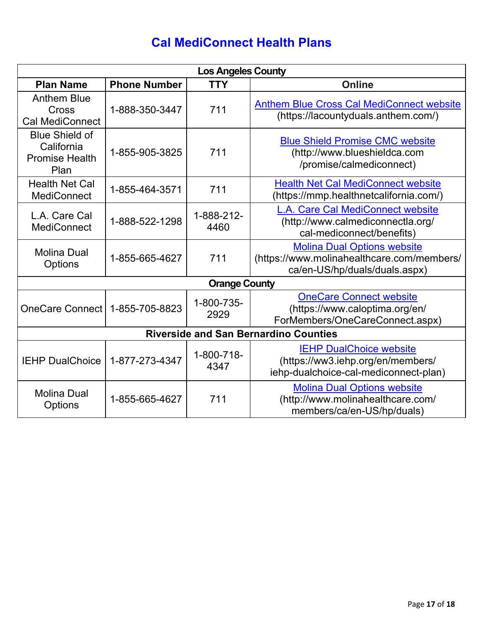# **Cal MediConnect Health Plans**

| <b>Los Angeles County</b>                                            |                     |                    |                                                                                                                   |  |  |
|----------------------------------------------------------------------|---------------------|--------------------|-------------------------------------------------------------------------------------------------------------------|--|--|
| <b>Plan Name</b>                                                     | <b>Phone Number</b> | <b>TTY</b>         | <b>Online</b>                                                                                                     |  |  |
| <b>Anthem Blue</b><br>Cross<br><b>Cal MediConnect</b>                | 1-888-350-3447      | 711                | <b>Anthem Blue Cross Cal MediConnect website</b><br>(https://lacountyduals.anthem.com/)                           |  |  |
| <b>Blue Shield of</b><br>California<br><b>Promise Health</b><br>Plan | 1-855-905-3825      | 711                | <b>Blue Shield Promise CMC website</b><br>(http://www.blueshieldca.com<br>/promise/calmediconnect)                |  |  |
| <b>Health Net Cal</b><br><b>MediConnect</b>                          | 1-855-464-3571      | 711                | <b>Health Net Cal MediConnect website</b><br>(https://mmp.healthnetcalifornia.com/)                               |  |  |
| L.A. Care Cal<br><b>MediConnect</b>                                  | 1-888-522-1298      | 1-888-212-<br>4460 | L.A. Care Cal MediConnect website<br>(http://www.calmediconnectla.org/<br>cal-mediconnect/benefits)               |  |  |
| <b>Molina Dual</b><br>Options                                        | 1-855-665-4627      | 711                | <b>Molina Dual Options website</b><br>(https://www.molinahealthcare.com/members/<br>ca/en-US/hp/duals/duals.aspx) |  |  |
| <b>Orange County</b>                                                 |                     |                    |                                                                                                                   |  |  |
| OneCare Connect   1-855-705-8823                                     |                     | 1-800-735-<br>2929 | <b>OneCare Connect website</b><br>(https://www.caloptima.org/en/<br>ForMembers/OneCareConnect.aspx)               |  |  |
| <b>Riverside and San Bernardino Counties</b>                         |                     |                    |                                                                                                                   |  |  |
| <b>IEHP DualChoice</b>                                               | 1-877-273-4347      | 1-800-718-<br>4347 | <b>IEHP DualChoice website</b><br>(https://ww3.iehp.org/en/members/<br>iehp-dualchoice-cal-mediconnect-plan)      |  |  |
| <b>Molina Dual</b><br><b>Options</b>                                 | 1-855-665-4627      | 711                | <b>Molina Dual Options website</b><br>(http://www.molinahealthcare.com/<br>members/ca/en-US/hp/duals)             |  |  |